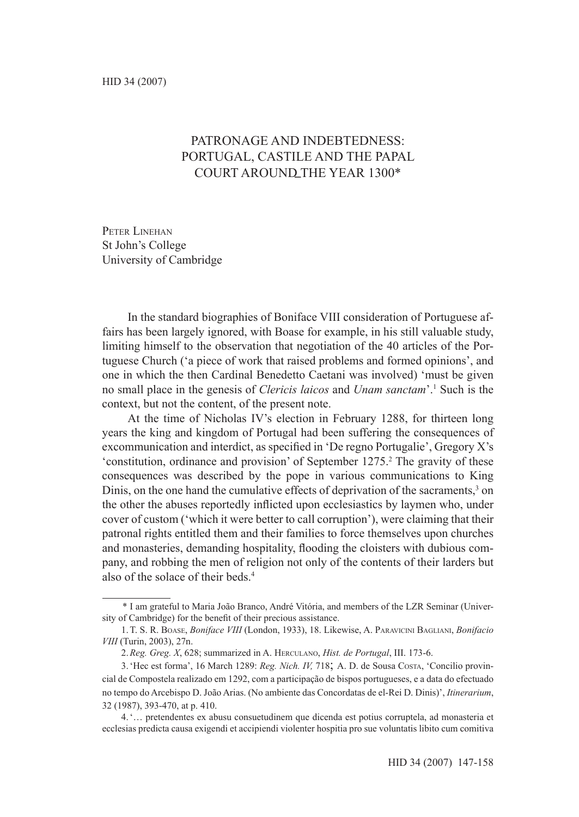# PATRONAGE AND INDEBTEDNESS. Portugal, Castile and the papal Court around the year 1300\*

PETER LINEHAN St John's College University of Cambridge

In the standard biographies of Boniface VIII consideration of Portuguese affairs has been largely ignored, with Boase for example, in his still valuable study, limiting himself to the observation that negotiation of the 40 articles of the Portuguese Church ('a piece of work that raised problems and formed opinions', and one in which the then Cardinal Benedetto Caetani was involved) 'must be given no small place in the genesis of *Clericis laicos* and *Unam sanctam*'.1 Such is the context, but not the content, of the present note.

At the time of Nicholas IV's election in February 1288, for thirteen long years the king and kingdom of Portugal had been suffering the consequences of excommunication and interdict, as specified in 'De regno Portugalie', Gregory X's 'constitution, ordinance and provision' of September 1275.<sup>2</sup> The gravity of these consequences was described by the pope in various communications to King Dinis, on the one hand the cumulative effects of deprivation of the sacraments,<sup>3</sup> on the other the abuses reportedly inflicted upon ecclesiastics by laymen who, under cover of custom ('which it were better to call corruption'), were claiming that their patronal rights entitled them and their families to force themselves upon churches and monasteries, demanding hospitality, flooding the cloisters with dubious company, and robbing the men of religion not only of the contents of their larders but also of the solace of their beds.<sup>4</sup>

<sup>\*</sup> I am grateful to Maria João Branco, André Vitória, and members of the LZR Seminar (University of Cambridge) for the benefit of their precious assistance.

<sup>1.</sup>T. S. R. Boase, *Boniface VIII* (London, 1933), 18. Likewise, A. Paravicini Bagliani, *Bonifacio VIII* (Turin, 2003), 27n.

<sup>2.</sup>*Reg. Greg. X*, 628; summarized in A. Herculano, *Hist. de Portugal*, III. 173-6.

<sup>3.</sup>'Hec est forma', 16 March 1289: *Reg. Nich. IV,* 718; A. D. de Sousa Costa, 'Concilio provincial de Compostela realizado em 1292, com a participação de bispos portugueses, e a data do efectuado no tempo do Arcebispo D. João Arias. (No ambiente das Concordatas de el-Rei D. Dinis)', *Itinerarium*, 32 (1987), 393-470, at p. 410.

<sup>4.&#</sup>x27;… pretendentes ex abusu consuetudinem que dicenda est potius corruptela, ad monasteria et ecclesias predicta causa exigendi et accipiendi violenter hospitia pro sue voluntatis libito cum comitiva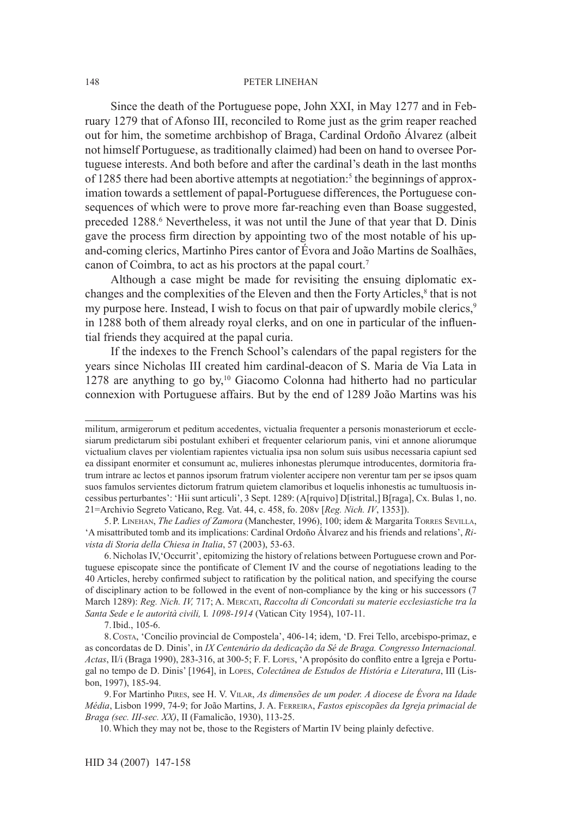Since the death of the Portuguese pope, John XXI, in May 1277 and in February 1279 that of Afonso III, reconciled to Rome just as the grim reaper reached out for him, the sometime archbishop of Braga, Cardinal Ordoño Álvarez (albeit not himself Portuguese, as traditionally claimed) had been on hand to oversee Portuguese interests. And both before and after the cardinal's death in the last months of 1285 there had been abortive attempts at negotiation:<sup>5</sup> the beginnings of approximation towards a settlement of papal-Portuguese differences, the Portuguese consequences of which were to prove more far-reaching even than Boase suggested, preceded 1288.<sup>6</sup> Nevertheless, it was not until the June of that year that D. Dinis gave the process firm direction by appointing two of the most notable of his upand-coming clerics, Martinho Pires cantor of Évora and João Martins de Soalhães, canon of Coimbra, to act as his proctors at the papal court.<sup>7</sup>

Although a case might be made for revisiting the ensuing diplomatic exchanges and the complexities of the Eleven and then the Forty Articles,<sup>8</sup> that is not my purpose here. Instead, I wish to focus on that pair of upwardly mobile clerics,<sup>9</sup> in 1288 both of them already royal clerks, and on one in particular of the influential friends they acquired at the papal curia.

If the indexes to the French School's calendars of the papal registers for the years since Nicholas III created him cardinal-deacon of S. Maria de Via Lata in 1278 are anything to go by,<sup>10</sup> Giacomo Colonna had hitherto had no particular connexion with Portuguese affairs. But by the end of 1289 João Martins was his

militum, armigerorum et peditum accedentes, victualia frequenter a personis monasteriorum et ecclesiarum predictarum sibi postulant exhiberi et frequenter celariorum panis, vini et annone aliorumque victualium claves per violentiam rapientes victualia ipsa non solum suis usibus necessaria capiunt sed ea dissipant enormiter et consumunt ac, mulieres inhonestas plerumque introducentes, dormitoria fratrum intrare ac lectos et pannos ipsorum fratrum violenter accipere non verentur tam per se ipsos quam suos famulos servientes dictorum fratrum quietem clamoribus et loquelis inhonestis ac tumultuosis incessibus perturbantes': 'Hii sunt articuli', 3 Sept. 1289: (A[rquivo] D[istrital,] B[raga], Cx. Bulas 1, no. 21=Archivio Segreto Vaticano, Reg. Vat. 44, c. 458, fo. 208v [*Reg. Nich. IV*, 1353]).

<sup>5.</sup> P. Linehan, *The Ladies of Zamora* (Manchester, 1996), 100; idem & Margarita Torres Sevilla, 'A misattributed tomb and its implications: Cardinal Ordoño Álvarez and his friends and relations', *Rivista di Storia della Chiesa in Italia*, 57 (2003), 53-63.

<sup>6.</sup>Nicholas IV,'Occurrit', epitomizing the history of relations between Portuguese crown and Portuguese episcopate since the pontificate of Clement IV and the course of negotiations leading to the 40 Articles, hereby confirmed subject to ratification by the political nation, and specifying the course of disciplinary action to be followed in the event of non-compliance by the king or his successors (7 March 1289): *Reg. Nich. IV,* 717; A. Mercati, *Raccolta di Concordati su materie ecclesiastiche tra la Santa Sede e le autorità civili,* I*. 1098-1914* (Vatican City 1954), 107-11.

<sup>7.</sup>Ibid., 105-6.

<sup>8.</sup>Costa, 'Concilio provincial de Compostela', 406-14; idem, 'D. Frei Tello, arcebispo-primaz, e as concordatas de D. Dinis', in *IX Centenário da dedicação da Sé de Braga. Congresso Internacional. Actas*, II/i (Braga 1990), 283-316, at 300-5; F. F. Lopes, 'A propósito do conflito entre a Igreja e Portugal no tempo de D. Dinis' [1964], in Lopes, *Colectânea de Estudos de História e Literatura*, III (Lisbon, 1997), 185-94.

<sup>9.</sup> For Martinho Pires, see H. V. Vilar, *As dimensões de um poder. A diocese de Évora na Idade Média*, Lisbon 1999, 74-9; for João Martins, J. A. Ferreira, *Fastos episcopães da Igreja primacial de Braga (sec. III-sec. XX)*, II (Famalicão, 1930), 113-25.

<sup>10.</sup>Which they may not be, those to the Registers of Martin IV being plainly defective.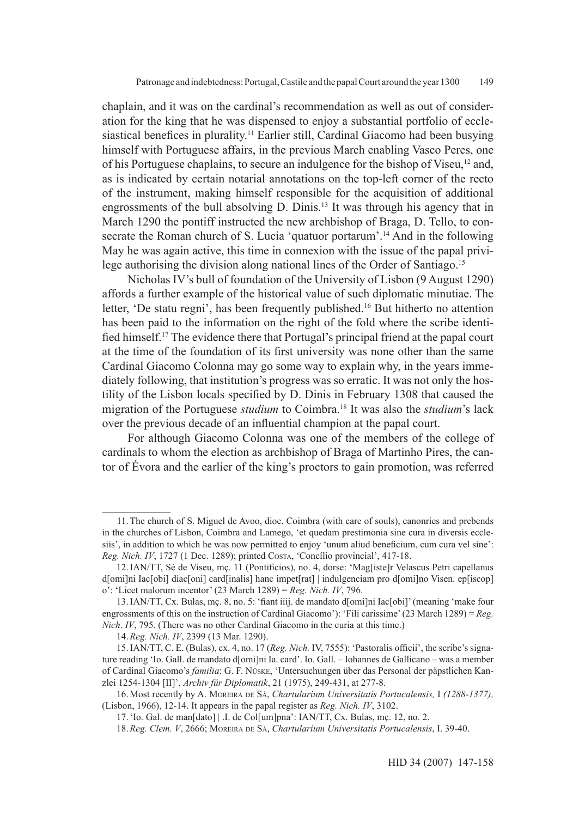chaplain, and it was on the cardinal's recommendation as well as out of consideration for the king that he was dispensed to enjoy a substantial portfolio of ecclesiastical benefices in plurality.<sup>11</sup> Earlier still, Cardinal Giacomo had been busying himself with Portuguese affairs, in the previous March enabling Vasco Peres, one of his Portuguese chaplains, to secure an indulgence for the bishop of Viseu,12 and, as is indicated by certain notarial annotations on the top-left corner of the recto of the instrument, making himself responsible for the acquisition of additional engrossments of the bull absolving D. Dinis.<sup>13</sup> It was through his agency that in March 1290 the pontiff instructed the new archbishop of Braga, D. Tello, to consecrate the Roman church of S. Lucia 'quatuor portarum'.<sup>14</sup> And in the following May he was again active, this time in connexion with the issue of the papal privilege authorising the division along national lines of the Order of Santiago.<sup>15</sup>

Nicholas IV's bull of foundation of the University of Lisbon (9 August 1290) affords a further example of the historical value of such diplomatic minutiae. The letter, 'De statu regni', has been frequently published.<sup>16</sup> But hitherto no attention has been paid to the information on the right of the fold where the scribe identified himself.17 The evidence there that Portugal's principal friend at the papal court at the time of the foundation of its first university was none other than the same Cardinal Giacomo Colonna may go some way to explain why, in the years immediately following, that institution's progress was so erratic. It was not only the hostility of the Lisbon locals specified by D. Dinis in February 1308 that caused the migration of the Portuguese *studium* to Coimbra.18 It was also the *studium*'s lack over the previous decade of an influential champion at the papal court.

For although Giacomo Colonna was one of the members of the college of cardinals to whom the election as archbishop of Braga of Martinho Pires, the cantor of Évora and the earlier of the king's proctors to gain promotion, was referred

<sup>11.</sup>The church of S. Miguel de Avoo, dioc. Coimbra (with care of souls), canonries and prebends in the churches of Lisbon, Coimbra and Lamego, 'et quedam prestimonia sine cura in diversis ecclesiis', in addition to which he was now permitted to enjoy 'unum aliud beneficium, cum cura vel sine': *Reg. Nich. IV*, 1727 (1 Dec. 1289); printed Costa, 'Concílio provincial', 417-18.

<sup>12.</sup>IAN/TT, Sé de Viseu, mç. 11 (Pontificios), no. 4, dorse: 'Mag[iste]r Velascus Petri capellanus d[omi]ni Iac[obi] diac[oni] card[inalis] hanc impet[rat] | indulgenciam pro d[omi]no Visen. ep[iscop] o': 'Licet malorum incentor' (23 March 1289) = *Reg. Nich. IV*, 796.

<sup>13.</sup>IAN/TT, Cx. Bulas, mç. 8, no. 5: 'fiant iiij. de mandato d[omi]ni Iac[obi]' (meaning 'make four engrossments of this on the instruction of Cardinal Giacomo'): 'Fili carissime' (23 March 1289) = *Reg. Nich*. *IV*, 795. (There was no other Cardinal Giacomo in the curia at this time.)

<sup>14.</sup>*Reg. Nich. IV*, 2399 (13 Mar. 1290).

<sup>15.</sup>IAN/TT, C. E. (Bulas), cx. 4, no. 17 (*Reg. Nich.* IV, 7555): 'Pastoralis officii', the scribe's signature reading 'Io. Gall. de mandato d[omi]ni Ia. card'. Io. Gall. – Iohannes de Gallicano – was a member of Cardinal Giacomo's *familia*: G. F. Nüske, 'Untersuchungen über das Personal der päpstlichen Kanzlei 1254-1304 [II]', *Archiv für Diplomatik*, 21 (1975), 249-431, at 277-8.

<sup>16.</sup>Most recently by A. Moreira de Sá, *Chartularium Universitatis Portucalensis,* I *(1288-1377),* (Lisbon, 1966), 12-14. It appears in the papal register as *Reg. Nich. IV*, 3102.

<sup>17.</sup>'Io. Gal. de man[dato] | .I. de Col[um]pna': IAN/TT, Cx. Bulas, mç. 12, no. 2.

<sup>18.</sup>*Reg. Clem. V*, 2666; Moreira de Sá, *Chartularium Universitatis Portucalensis*, I. 39-40.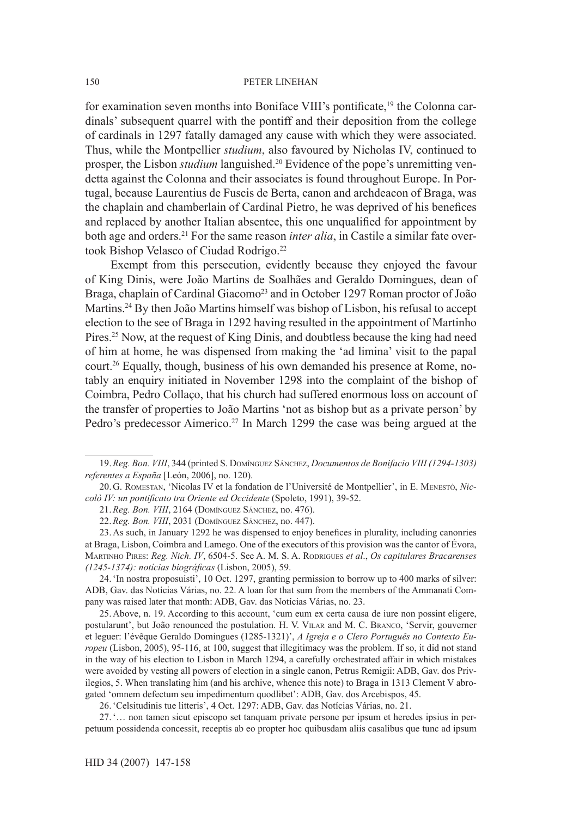for examination seven months into Boniface VIII's pontificate,19 the Colonna cardinals' subsequent quarrel with the pontiff and their deposition from the college of cardinals in 1297 fatally damaged any cause with which they were associated. Thus, while the Montpellier *studium*, also favoured by Nicholas IV, continued to prosper, the Lisbon *studium* languished.20 Evidence of the pope's unremitting vendetta against the Colonna and their associates is found throughout Europe. In Portugal, because Laurentius de Fuscis de Berta, canon and archdeacon of Braga, was the chaplain and chamberlain of Cardinal Pietro, he was deprived of his benefices and replaced by another Italian absentee, this one unqualified for appointment by both age and orders.21 For the same reason *inter alia*, in Castile a similar fate overtook Bishop Velasco of Ciudad Rodrigo.<sup>22</sup>

Exempt from this persecution, evidently because they enjoyed the favour of King Dinis, were João Martins de Soalhães and Geraldo Domingues, dean of Braga, chaplain of Cardinal Giacomo<sup>23</sup> and in October 1297 Roman proctor of João Martins.24 By then João Martins himself was bishop of Lisbon, his refusal to accept election to the see of Braga in 1292 having resulted in the appointment of Martinho Pires.<sup>25</sup> Now, at the request of King Dinis, and doubtless because the king had need of him at home, he was dispensed from making the 'ad limina' visit to the papal court.26 Equally, though, business of his own demanded his presence at Rome, notably an enquiry initiated in November 1298 into the complaint of the bishop of Coimbra, Pedro Collaço, that his church had suffered enormous loss on account of the transfer of properties to João Martins 'not as bishop but as a private person' by Pedro's predecessor Aimerico.<sup>27</sup> In March 1299 the case was being argued at the

25.Above, n. 19. According to this account, 'cum eum ex certa causa de iure non possint eligere, postularunt', but João renounced the postulation. H. V. Vilar and M. C. Branco, 'Servir, gouverner et leguer: l'évêque Geraldo Domingues (1285-1321)', *A Igreja e o Clero Português no Contexto Europeu* (Lisbon, 2005), 95-116, at 100, suggest that illegitimacy was the problem. If so, it did not stand in the way of his election to Lisbon in March 1294, a carefully orchestrated affair in which mistakes were avoided by vesting all powers of election in a single canon, Petrus Remigii: ADB, Gav. dos Privilegios, 5. When translating him (and his archive, whence this note) to Braga in 1313 Clement V abrogated 'omnem defectum seu impedimentum quodlibet': ADB, Gav. dos Arcebispos, 45.

26.'Celsitudinis tue litteris', 4 Oct. 1297: ADB, Gav. das Notícias Várias, no. 21.

27.'… non tamen sicut episcopo set tanquam private persone per ipsum et heredes ipsius in perpetuum possidenda concessit, receptis ab eo propter hoc quibusdam aliis casalibus que tunc ad ipsum

<sup>19.</sup>*Reg. Bon. VIII*, 344 (printed S. Domínguez Sánchez, *Documentos de Bonifacio VIII (1294-1303) referentes a España* [León, 2006], no. 120).

<sup>20.</sup>G. Romestan, 'Nicolas IV et la fondation de l'Université de Montpellier', in E. Menestò, *Niccolò IV: un pontificato tra Oriente ed Occidente* (Spoleto, 1991), 39-52.

<sup>21.</sup>*Reg. Bon. VIII*, 2164 (Domínguez Sánchez, no. 476).

<sup>22.</sup>*Reg. Bon. VIII*, 2031 (Domínguez Sánchez, no. 447).

<sup>23.</sup>As such, in January 1292 he was dispensed to enjoy benefices in plurality, including canonries at Braga, Lisbon, Coimbra and Lamego. One of the executors of this provision was the cantor of Évora, Martinho Pires: *Reg. Nich. IV*, 6504-5. See A. M. S. A. Rodrigues *et al*., *Os capitulares Bracarenses (1245-1374): notícias biográficas* (Lisbon, 2005), 59.

<sup>24.</sup>'In nostra proposuisti', 10 Oct. 1297, granting permission to borrow up to 400 marks of silver: ADB, Gav. das Notícias Várias, no. 22. A loan for that sum from the members of the Ammanati Company was raised later that month: ADB, Gav. das Notícias Várias, no. 23.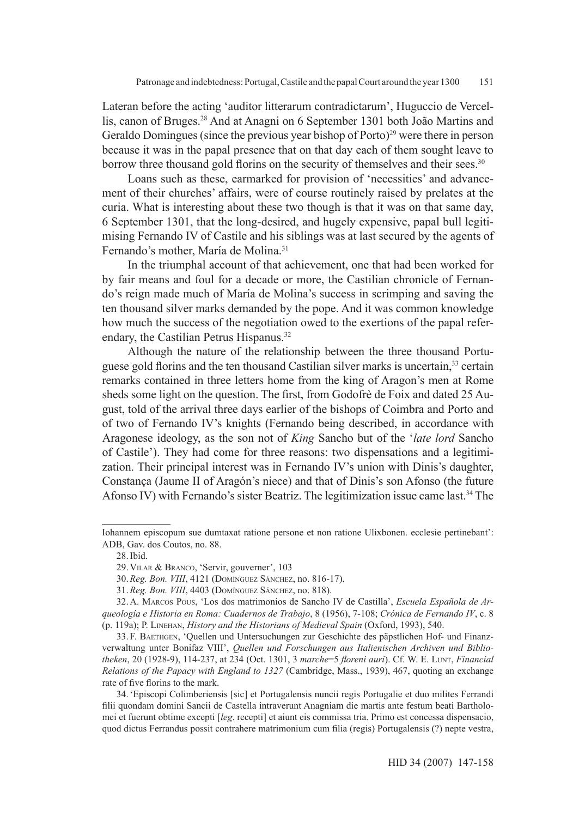Lateran before the acting 'auditor litterarum contradictarum', Huguccio de Vercellis, canon of Bruges.28 And at Anagni on 6 September 1301 both João Martins and Geraldo Domingues (since the previous year bishop of Porto)<sup>29</sup> were there in person because it was in the papal presence that on that day each of them sought leave to borrow three thousand gold florins on the security of themselves and their sees.<sup>30</sup>

Loans such as these, earmarked for provision of 'necessities' and advancement of their churches' affairs, were of course routinely raised by prelates at the curia. What is interesting about these two though is that it was on that same day, 6 September 1301, that the long-desired, and hugely expensive, papal bull legitimising Fernando IV of Castile and his siblings was at last secured by the agents of Fernando's mother, María de Molina.<sup>31</sup>

In the triumphal account of that achievement, one that had been worked for by fair means and foul for a decade or more, the Castilian chronicle of Fernando's reign made much of María de Molina's success in scrimping and saving the ten thousand silver marks demanded by the pope. And it was common knowledge how much the success of the negotiation owed to the exertions of the papal referendary, the Castilian Petrus Hispanus.<sup>32</sup>

Although the nature of the relationship between the three thousand Portuguese gold florins and the ten thousand Castilian silver marks is uncertain,33 certain remarks contained in three letters home from the king of Aragon's men at Rome sheds some light on the question. The first, from Godofrè de Foix and dated 25 August, told of the arrival three days earlier of the bishops of Coimbra and Porto and of two of Fernando IV's knights (Fernando being described, in accordance with Aragonese ideology, as the son not of *King* Sancho but of the '*late lord* Sancho of Castile'). They had come for three reasons: two dispensations and a legitimization. Their principal interest was in Fernando IV's union with Dinis's daughter, Constança (Jaume II of Aragón's niece) and that of Dinis's son Afonso (the future Afonso IV) with Fernando's sister Beatriz. The legitimization issue came last.34 The

Iohannem episcopum sue dumtaxat ratione persone et non ratione Ulixbonen. ecclesie pertinebant': ADB, Gav. dos Coutos, no. 88.

<sup>28.</sup>Ibid.

<sup>29.</sup>Vilar & Branco, 'Servir, gouverner', 103

<sup>30.</sup>*Reg. Bon. VIII*, 4121 (Domínguez Sánchez, no. 816-17).

<sup>31.</sup>*Reg. Bon. VIII*, 4403 (Domínguez Sánchez, no. 818).

<sup>32.</sup>A. Marcos Pous, 'Los dos matrimonios de Sancho IV de Castilla', *Escuela Española de Arqueología e Historia en Roma: Cuadernos de Trabajo*, 8 (1956), 7-108; *Crónica de Fernando IV*, c. 8 (p. 119a); P. Linehan, *History and the Historians of Medieval Spain* (Oxford, 1993), 540.

<sup>33.</sup> F. Baethgen, 'Quellen und Untersuchungen zur Geschichte des päpstlichen Hof- und Finanzverwaltung unter Bonifaz VIII', *Quellen und Forschungen aus Italienischen Archiven und Bibliotheken*, 20 (1928-9), 114-237, at 234 (Oct. 1301, 3 *marche*=5 *floreni auri*). Cf. W. E. Lunt, *Financial Relations of the Papacy with England to 1327* (Cambridge, Mass., 1939), 467, quoting an exchange rate of five florins to the mark.

<sup>34.</sup>'Episcopi Colimberiensis [sic] et Portugalensis nuncii regis Portugalie et duo milites Ferrandi filii quondam domini Sancii de Castella intraverunt Anagniam die martis ante festum beati Bartholomei et fuerunt obtime excepti [*leg*. recepti] et aiunt eis commissa tria. Primo est concessa dispensacio, quod dictus Ferrandus possit contrahere matrimonium cum filia (regis) Portugalensis (?) nepte vestra,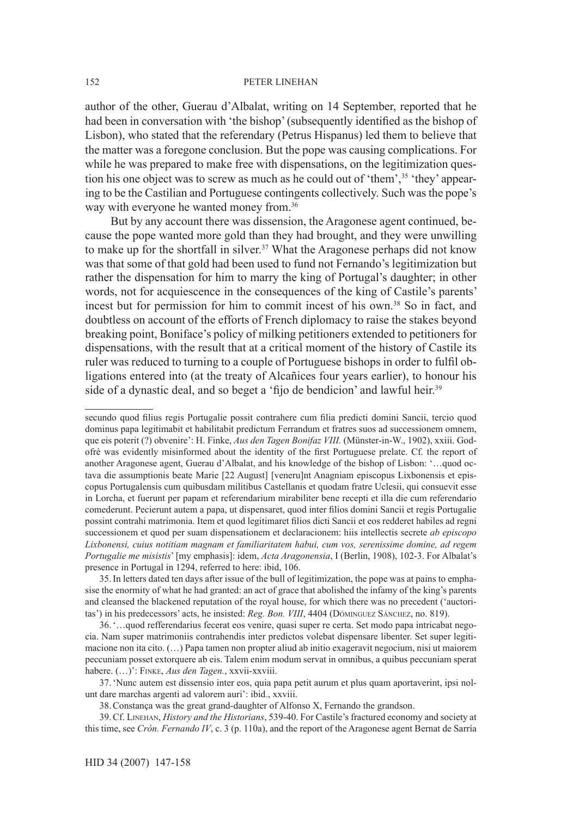author of the other, Guerau d'Albalat, writing on 14 September, reported that he had been in conversation with 'the bishop' (subsequently identified as the bishop of Lisbon), who stated that the referendary (Petrus Hispanus) led them to believe that the matter was a foregone conclusion. But the pope was causing complications. For while he was prepared to make free with dispensations, on the legitimization question his one object was to screw as much as he could out of 'them',<sup>35</sup> 'they' appearing to be the Castilian and Portuguese contingents collectively. Such was the pope's way with everyone he wanted money from.<sup>36</sup>

But by any account there was dissension, the Aragonese agent continued, because the pope wanted more gold than they had brought, and they were unwilling to make up for the shortfall in silver.<sup>37</sup> What the Aragonese perhaps did not know was that some of that gold had been used to fund not Fernando's legitimization but rather the dispensation for him to marry the king of Portugal's daughter; in other words, not for acquiescence in the consequences of the king of Castile's parents' incest but for permission for him to commit incest of his own.<sup>38</sup> So in fact, and doubtless on account of the efforts of French diplomacy to raise the stakes beyond breaking point, Boniface's policy of milking petitioners extended to petitioners for dispensations, with the result that at a critical moment of the history of Castile its ruler was reduced to turning to a couple of Portuguese bishops in order to fulfil obligations entered into (at the treaty of Alcañices four years earlier), to honour his side of a dynastic deal, and so beget a 'fijo de bendicion' and lawful heir.<sup>39</sup>

37.'Nunc autem est dissensio inter eos, quia papa petit aurum et plus quam aportaverint, ipsi nolunt dare marchas argenti ad valorem auri': ibid., xxviii.

secundo quod filius regis Portugalie possit contrahere cum filia predicti domini Sancii, tercio quod dominus papa legitimabit et habilitabit predictum Ferrandum et fratres suos ad successionem omnem, que eis poterit (?) obvenire': H. Finke, *Aus den Tagen Bonifaz VIII*. (Münster-in-W., 1902), xxiii. Godofrè was evidently misinformed about the identity of the first Portuguese prelate. Cf. the report of another Aragonese agent, Guerau d'Albalat, and his knowledge of the bishop of Lisbon: '…quod octava die assumptionis beate Marie [22 August] [veneru]nt Anagniam episcopus Lixbonensis et episcopus Portugalensis cum quibusdam militibus Castellanis et quodam fratre Uclesii, qui consuevit esse in Lorcha, et fuerunt per papam et referendarium mirabiliter bene recepti et illa die cum referendario comederunt. Pecierunt autem a papa, ut dispensaret, quod inter filios domini Sancii et regis Portugalie possint contrahi matrimonia. Item et quod legitimaret filios dicti Sancii et eos redderet habiles ad regni successionem et quod per suam dispensationem et declaracionem: hiis intellectis secrete *ab episcopo Lixbonensi, cuius notitiam magnam et familiaritatem habui, cum vos, serenissime domine, ad regem Portugalie me misistis*' [my emphasis]: idem, *Acta Aragonensia*, I (Berlin, 1908), 102-3. For Albalat's presence in Portugal in 1294, referred to here: ibid, 106.

<sup>35.</sup>In letters dated ten days after issue of the bull of legitimization, the pope was at pains to emphasise the enormity of what he had granted: an act of grace that abolished the infamy of the king's parents and cleansed the blackened reputation of the royal house, for which there was no precedent ('auctoritas') in his predecessors' acts, he insisted: *Reg. Bon. VIII*, 4404 (Dóminguez Sánchez, no. 819).

<sup>36.&#</sup>x27;…quod refferendarius fecerat eos venire, quasi super re certa. Set modo papa intricabat negocia. Nam super matrimoniis contrahendis inter predictos volebat dispensare libenter. Set super legitimacione non ita cito. (…) Papa tamen non propter aliud ab initio exageravit negocium, nisi ut maiorem peccuniam posset extorquere ab eis. Talem enim modum servat in omnibus, a quibus peccuniam sperat habere. (…)': Finke, *Aus den Tagen.*, xxvii-xxviii.

<sup>38.</sup>Constança was the great grand-daughter of Alfonso X, Fernando the grandson.

<sup>39.</sup>Cf. Linehan, *History and the Historians*, 539-40. For Castile's fractured economy and society at this time, see *Crón. Fernando IV*, c. 3 (p. 110a), and the report of the Aragonese agent Bernat de Sarría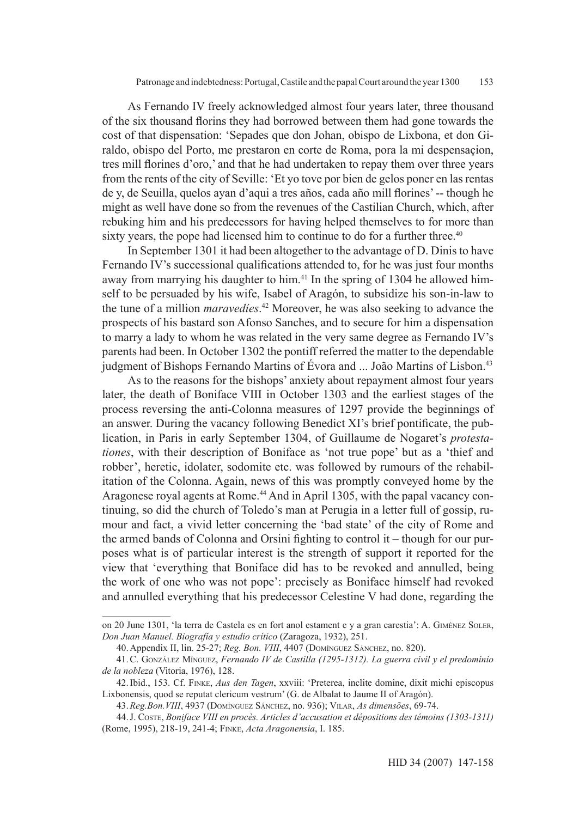As Fernando IV freely acknowledged almost four years later, three thousand of the six thousand florins they had borrowed between them had gone towards the cost of that dispensation: 'Sepades que don Johan, obispo de Lixbona, et don Giraldo, obispo del Porto, me prestaron en corte de Roma, pora la mi despensaçion, tres mill florines d'oro,' and that he had undertaken to repay them over three years from the rents of the city of Seville: 'Et yo tove por bien de gelos poner en las rentas de y, de Seuilla, quelos ayan d'aqui a tres años, cada año mill florines' -- though he might as well have done so from the revenues of the Castilian Church, which, after rebuking him and his predecessors for having helped themselves to for more than sixty years, the pope had licensed him to continue to do for a further three.<sup>40</sup>

In September 1301 it had been altogether to the advantage of D. Dinis to have Fernando IV's successional qualifications attended to, for he was just four months away from marrying his daughter to him.<sup>41</sup> In the spring of 1304 he allowed himself to be persuaded by his wife, Isabel of Aragón, to subsidize his son-in-law to the tune of a million *maravedíes*. <sup>42</sup> Moreover, he was also seeking to advance the prospects of his bastard son Afonso Sanches, and to secure for him a dispensation to marry a lady to whom he was related in the very same degree as Fernando IV's parents had been. In October 1302 the pontiff referred the matter to the dependable judgment of Bishops Fernando Martins of Évora and ... João Martins of Lisbon.<sup>43</sup>

As to the reasons for the bishops' anxiety about repayment almost four years later, the death of Boniface VIII in October 1303 and the earliest stages of the process reversing the anti-Colonna measures of 1297 provide the beginnings of an answer. During the vacancy following Benedict XI's brief pontificate, the publication, in Paris in early September 1304, of Guillaume de Nogaret's *protestationes*, with their description of Boniface as 'not true pope' but as a 'thief and robber', heretic, idolater, sodomite etc. was followed by rumours of the rehabilitation of the Colonna. Again, news of this was promptly conveyed home by the Aragonese royal agents at Rome.<sup>44</sup> And in April 1305, with the papal vacancy continuing, so did the church of Toledo's man at Perugia in a letter full of gossip, rumour and fact, a vivid letter concerning the 'bad state' of the city of Rome and the armed bands of Colonna and Orsini fighting to control it – though for our purposes what is of particular interest is the strength of support it reported for the view that 'everything that Boniface did has to be revoked and annulled, being the work of one who was not pope': precisely as Boniface himself had revoked and annulled everything that his predecessor Celestine V had done, regarding the

on 20 June 1301, 'la terra de Castela es en fort anol estament e y a gran carestia': A. Giménez Soler, *Don Juan Manuel. Biografía y estudio crítico* (Zaragoza, 1932), 251.

<sup>40.</sup>Appendix II, lin. 25-27; *Reg. Bon. VIII*, 4407 (Domínguez Sánchez, no. 820).

<sup>41.</sup>C. González Mínguez, *Fernando IV de Castilla (1295-1312). La guerra civil y el predominio de la nobleza* (Vitoria, 1976), 128.

<sup>42.</sup>Ibid., 153. Cf. Finke, *Aus den Tagen*, xxviii: 'Preterea, inclite domine, dixit michi episcopus Lixbonensis, quod se reputat clericum vestrum' (G. de Albalat to Jaume II of Aragón).

<sup>43.</sup>*Reg.Bon.VIII*, 4937 (Domínguez Sánchez, no. 936); Vilar, *As dimensões*, 69-74.

<sup>44.</sup>J. Coste, *Boniface VIII en procès. Articles d'accusation et dépositions des témoins (1303-1311)* (Rome, 1995), 218-19, 241-4; Finke, *Acta Aragonensia*, I. 185.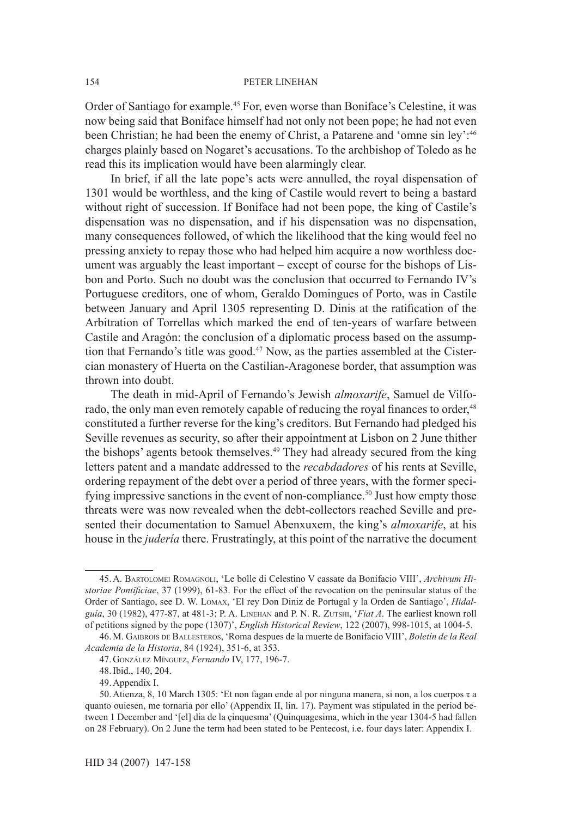Order of Santiago for example.45 For, even worse than Boniface's Celestine, it was now being said that Boniface himself had not only not been pope; he had not even been Christian; he had been the enemy of Christ, a Patarene and 'omne sin ley':46 charges plainly based on Nogaret's accusations. To the archbishop of Toledo as he read this its implication would have been alarmingly clear.

In brief, if all the late pope's acts were annulled, the royal dispensation of 1301 would be worthless, and the king of Castile would revert to being a bastard without right of succession. If Boniface had not been pope, the king of Castile's dispensation was no dispensation, and if his dispensation was no dispensation, many consequences followed, of which the likelihood that the king would feel no pressing anxiety to repay those who had helped him acquire a now worthless document was arguably the least important – except of course for the bishops of Lisbon and Porto. Such no doubt was the conclusion that occurred to Fernando IV's Portuguese creditors, one of whom, Geraldo Domingues of Porto, was in Castile between January and April 1305 representing D. Dinis at the ratification of the Arbitration of Torrellas which marked the end of ten-years of warfare between Castile and Aragón: the conclusion of a diplomatic process based on the assumption that Fernando's title was good.<sup>47</sup> Now, as the parties assembled at the Cistercian monastery of Huerta on the Castilian-Aragonese border, that assumption was thrown into doubt.

The death in mid-April of Fernando's Jewish *almoxarife*, Samuel de Vilforado, the only man even remotely capable of reducing the royal finances to order,<sup>48</sup> constituted a further reverse for the king's creditors. But Fernando had pledged his Seville revenues as security, so after their appointment at Lisbon on 2 June thither the bishops' agents betook themselves.49 They had already secured from the king letters patent and a mandate addressed to the *recabdadores* of his rents at Seville, ordering repayment of the debt over a period of three years, with the former specifying impressive sanctions in the event of non-compliance.<sup>50</sup> Just how empty those threats were was now revealed when the debt-collectors reached Seville and presented their documentation to Samuel Abenxuxem, the king's *almoxarife*, at his house in the *judería* there. Frustratingly, at this point of the narrative the document

154

<sup>45.</sup>A. Bartolomei Romagnoli, 'Le bolle di Celestino V cassate da Bonifacio VIII', *Archivum Historiae Pontificiae*, 37 (1999), 61-83. For the effect of the revocation on the peninsular status of the Order of Santiago, see D. W. Lomax, 'El rey Don Diniz de Portugal y la Orden de Santiago', *Hidalguía*, 30 (1982), 477-87, at 481-3; P. A. Linehan and P. N. R. Zutshi, '*Fiat A*. The earliest known roll of petitions signed by the pope (1307)', *English Historical Review*, 122 (2007), 998-1015, at 1004-5.

<sup>46.</sup>M. Gaibrois de Ballesteros, 'Roma despues de la muerte de Bonifacio VIII', *Boletín de la Real Academia de la Historia*, 84 (1924), 351-6, at 353.

<sup>47.</sup>González Mínguez, *Fernando* IV, 177, 196-7.

<sup>48.</sup>Ibid., 140, 204.

<sup>49.</sup>Appendix I.

<sup>50.</sup>Atienza, 8, 10 March 1305: 'Et non fagan ende al por ninguna manera, si non, a los cuerpos τ a quanto ouiesen, me tornaria por ello' (Appendix II, lin. 17). Payment was stipulated in the period between 1 December and '[el] dia de la çinquesma' (Quinquagesima, which in the year 1304-5 had fallen on 28 February). On 2 June the term had been stated to be Pentecost, i.e. four days later: Appendix I.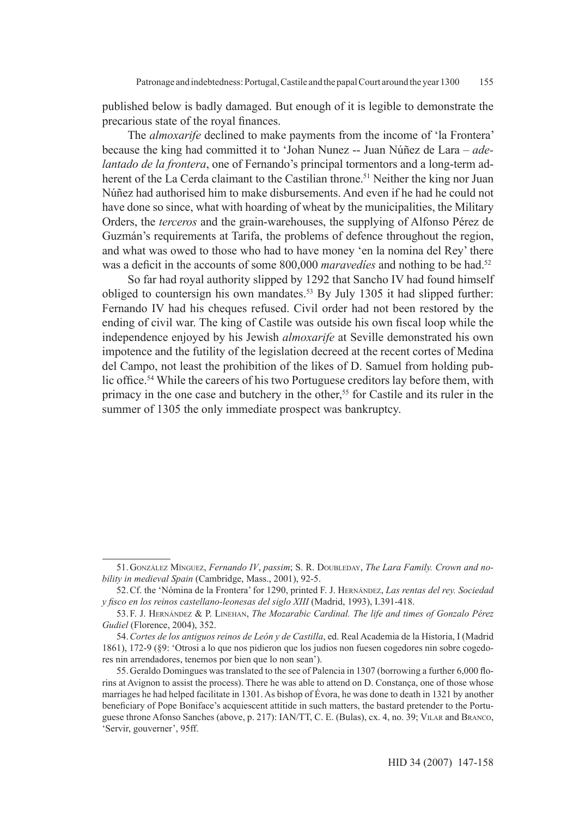published below is badly damaged. But enough of it is legible to demonstrate the precarious state of the royal finances.

The *almoxarife* declined to make payments from the income of 'la Frontera' because the king had committed it to 'Johan Nunez -- Juan Núñez de Lara – *adelantado de la frontera*, one of Fernando's principal tormentors and a long-term adherent of the La Cerda claimant to the Castilian throne.<sup>51</sup> Neither the king nor Juan Núñez had authorised him to make disbursements. And even if he had he could not have done so since, what with hoarding of wheat by the municipalities, the Military Orders, the *terceros* and the grain-warehouses, the supplying of Alfonso Pérez de Guzmán's requirements at Tarifa, the problems of defence throughout the region, and what was owed to those who had to have money 'en la nomina del Rey' there was a deficit in the accounts of some 800,000 *maravedies* and nothing to be had.<sup>52</sup>

So far had royal authority slipped by 1292 that Sancho IV had found himself obliged to countersign his own mandates.<sup>53</sup> By July 1305 it had slipped further: Fernando IV had his cheques refused. Civil order had not been restored by the ending of civil war. The king of Castile was outside his own fiscal loop while the independence enjoyed by his Jewish *almoxarife* at Seville demonstrated his own impotence and the futility of the legislation decreed at the recent cortes of Medina del Campo, not least the prohibition of the likes of D. Samuel from holding public office.<sup>54</sup> While the careers of his two Portuguese creditors lay before them, with primacy in the one case and butchery in the other,<sup>55</sup> for Castile and its ruler in the summer of 1305 the only immediate prospect was bankruptcy.

<sup>51.</sup>González Mínguez, *Fernando IV*, *passim*; S. R. Doubleday, *The Lara Family. Crown and nobility in medieval Spain* (Cambridge, Mass., 2001), 92-5.

<sup>52.</sup>Cf. the 'Nómina de la Frontera' for 1290, printed F. J. Hernández, *Las rentas del rey. Sociedad y fisco en los reinos castellano-leonesas del siglo XIII* (Madrid, 1993), I.391-418.

<sup>53.</sup> F. J. Hernández & P. Linehan, *The Mozarabic Cardinal. The life and times of Gonzalo Pérez Gudiel* (Florence, 2004), 352.

<sup>54.</sup>*Cortes de los antiguos reinos de León y de Castilla*, ed. Real Academia de la Historia, I (Madrid 1861), 172-9 (§9: 'Otrosi a lo que nos pidieron que los judios non fuesen cogedores nin sobre cogedores nin arrendadores, tenemos por bien que lo non sean').

<sup>55.</sup>Geraldo Domingues was translated to the see of Palencia in 1307 (borrowing a further 6,000 florins at Avignon to assist the process). There he was able to attend on D. Constança, one of those whose marriages he had helped facilitate in 1301. As bishop of Évora, he was done to death in 1321 by another beneficiary of Pope Boniface's acquiescent attitide in such matters, the bastard pretender to the Portuguese throne Afonso Sanches (above, p. 217): IAN/TT, C. E. (Bulas), cx. 4, no. 39; Vilar and Branco, 'Servir, gouverner', 95ff.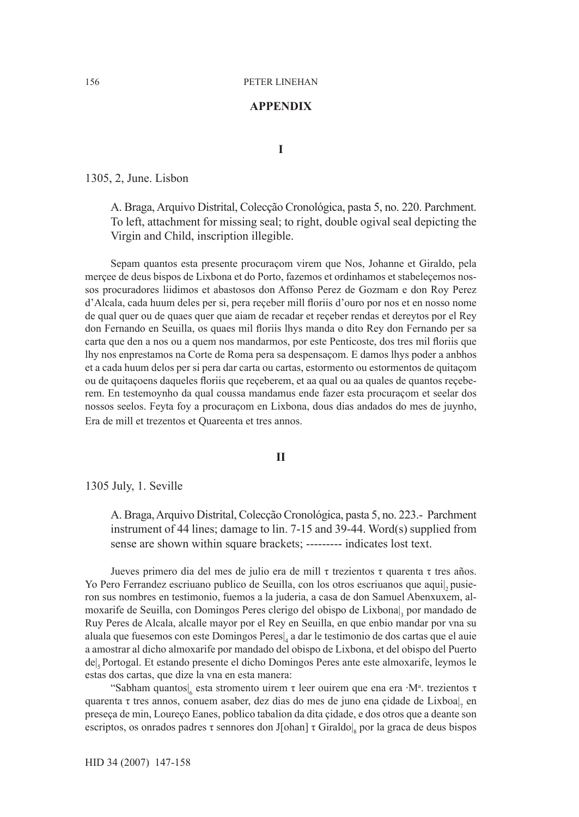# **Appendix**

**I**

1305, 2, June. Lisbon

A. Braga, Arquivo Distrital, Colecção Cronológica, pasta 5, no. 220. Parchment. To left, attachment for missing seal; to right, double ogival seal depicting the Virgin and Child, inscription illegible.

Sepam quantos esta presente procuraçom virem que Nos, Johanne et Giraldo, pela merçee de deus bispos de Lixbona et do Porto, fazemos et ordinhamos et stabeleçemos nossos procuradores liidimos et abastosos don Affonso Perez de Gozmam e don Roy Perez d'Alcala, cada huum deles per si, pera reçeber mill floriis d'ouro por nos et en nosso nome de qual quer ou de quaes quer que aiam de recadar et reçeber rendas et dereytos por el Rey don Fernando en Seuilla, os quaes mil floriis lhys manda o dito Rey don Fernando per sa carta que den a nos ou a quem nos mandarmos, por este Penticoste, dos tres mil floriis que lhy nos enprestamos na Corte de Roma pera sa despensaçom. E damos lhys poder a anbhos et a cada huum delos per si pera dar carta ou cartas, estormento ou estormentos de quitaçom ou de quitaçoens daqueles floriis que reçeberem, et aa qual ou aa quales de quantos reçeberem. En testemoynho da qual coussa mandamus ende fazer esta procuraçom et seelar dos nossos seelos. Feyta foy a procuraçom en Lixbona, dous dias andados do mes de juynho, Era de mill et trezentos et Quareenta et tres annos.

# **II**

1305 July, 1. Seville

A. Braga, Arquivo Distrital, Colecção Cronológica, pasta 5, no. 223.- Parchment instrument of 44 lines; damage to lin. 7-15 and 39-44. Word(s) supplied from sense are shown within square brackets; --------- indicates lost text.

Jueves primero dia del mes de julio era de mill τ trezientos τ quarenta τ tres años. Yo Pero Ferrandez escriuano publico de Seuilla, con los otros escriuanos que aquil, pusieron sus nombres en testimonio, fuemos a la juderia, a casa de don Samuel Abenxuxem, almoxarife de Seuilla, con Domingos Peres clerigo del obispo de Lixbona|<sup>3</sup> por mandado de Ruy Peres de Alcala, alcalle mayor por el Rey en Seuilla, en que enbio mandar por vna su aluala que fuesemos con este Domingos Peres|<sup>4</sup> a dar le testimonio de dos cartas que el auie a amostrar al dicho almoxarife por mandado del obispo de Lixbona, et del obispo del Puerto de|5 Portogal. Et estando presente el dicho Domingos Peres ante este almoxarife, leymos le estas dos cartas, que dize la vna en esta manera:

"Sabham quantos|<sub>6</sub> esta stromento uirem τ leer ouirem que ena era ·M<sup>a</sup>. trezientos τ quarenta τ tres annos, conuem asaber, dez dias do mes de juno ena çidade de Lixboa|<sub>7</sub> en preseça de min, Loureço Eanes, poblico tabalion da dita çidade, e dos otros que a deante son escriptos, os onrados padres τ sennores don J[ohan] τ Giraldo|<sub>8</sub> por la graca de deus bispos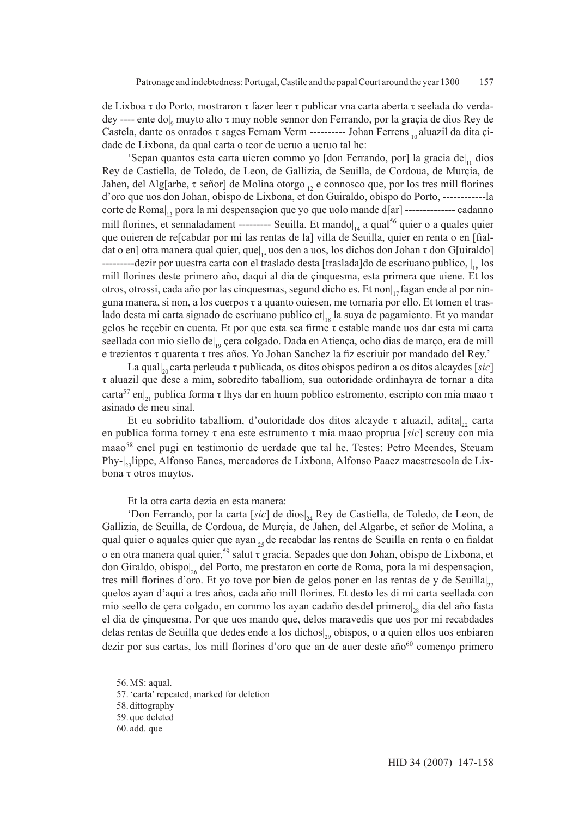de Lixboa τ do Porto, mostraron τ fazer leer τ publicar vna carta aberta τ seelada do verdadey ---- ente do|<sub>9</sub> muyto alto τ muy noble sennor don Ferrando, por la graçia de dios Rey de Castela, dante os onrados τ sages Fernam Verm ---------- Johan Ferrens|<sub>0</sub> aluazil da dita çidade de Lixbona, da qual carta o teor de ueruo a ueruo tal he:

'Sepan quantos esta carta uieren commo yo [don Ferrando, por] la gracia de|<sub>11</sub> dios Rey de Castiella, de Toledo, de Leon, de Gallizia, de Seuilla, de Cordoua, de Murçia, de Jahen, del Alg[arbe, τ señor] de Molina otorgo|<sub>12</sub> e connosco que, por los tres mill florines d'oro que uos don Johan, obispo de Lixbona, et don Guiraldo, obispo do Porto, ------------la corte de Roma|, pora la mi despensaçion que yo que uolo mande d[ar] --------------- cadanno mill florines, et sennaladament --------- Seuilla. Et mando $\vert_{14}$  a qual<sup>56</sup> quier o a quales quier que ouieren de re[cabdar por mi las rentas de la] villa de Seuilla, quier en renta o en [fialdat o en] otra manera qual quier, que $|_{15}$ uos den a uos, los dichos don Johan  $\tau$  don G[uiraldo]  $---$ -dezir por uuestra carta con el traslado desta [traslada]do de escriuano publico,  $\frac{1}{16}$  los mill florines deste primero año, daqui al dia de çinquesma, esta primera que uiene. Et los otros, otrossi, cada año por las cinquesmas, segund dicho es. Et non $\vert_{12}$  fagan ende al por ninguna manera, si non, a los cuerpos τ a quanto ouiesen, me tornaria por ello. Et tomen el traslado desta mi carta signado de escriuano publico et|<sub>18</sub> la suya de pagamiento. Et yo mandar gelos he reçebir en cuenta. Et por que esta sea firme τ estable mande uos dar esta mi carta seellada con mio siello de|<sub>19</sub> çera colgado. Dada en Atiença, ocho dias de março, era de mill e trezientos τ quarenta τ tres años. Yo Johan Sanchez la fiz escriuir por mandado del Rey.'

La qual $|_{20}$  carta perleuda τ publicada, os ditos obispos pediron a os ditos alcaydes [*sic*] τ aluazil que dese a mim, sobredito taballiom, sua outoridade ordinhayra de tornar a dita carta<sup>57</sup> en|<sub>21</sub> publica forma τ lhys dar en huum poblico estromento, escripto con mia maao τ asinado de meu sinal.

Et eu sobridito taballiom, d'outoridade dos ditos alcayde τ aluazil, adita|<sub>22</sub> carta en publica forma torney τ ena este estrumento τ mia maao proprua [*sic*] screuy con mia maao<sup>58</sup> enel pugi en testimonio de uerdade que tal he. Testes: Petro Meendes, Steuam Phy-|<sub>23</sub>lippe, Alfonso Eanes, mercadores de Lixbona, Alfonso Paaez maestrescola de Lixbona τ otros muytos.

Et la otra carta dezia en esta manera:

'Don Ferrando, por la carta [*sic*] de dios|24 Rey de Castiella, de Toledo, de Leon, de Gallizia, de Seuilla, de Cordoua, de Murçia, de Jahen, del Algarbe, et señor de Molina, a qual quier o aquales quier que ayan $\vert_{25}$  de recabdar las rentas de Seuilla en renta o en fialdat o en otra manera qual quier,<sup>59</sup> salut τ gracia. Sepades que don Johan, obispo de Lixbona, et don Giraldo, obispo|26 del Porto, me prestaron en corte de Roma, pora la mi despensaçion, tres mill florines d'oro. Et yo tove por bien de gelos poner en las rentas de y de Seuilla $\vert_{27}$ quelos ayan d'aqui a tres años, cada año mill florines. Et desto les di mi carta seellada con mio seello de çera colgado, en commo los ayan cadaño desdel primerol<sub>28</sub> dia del año fasta el dia de çinquesma. Por que uos mando que, delos maravedis que uos por mi recabdades delas rentas de Seuilla que dedes ende a los dichos|29 obispos, o a quien ellos uos enbiaren dezir por sus cartas, los mill florines d'oro que an de auer deste año $60$  començo primero

<sup>56.</sup>MS: aqual.

<sup>57.</sup>'carta' repeated, marked for deletion

<sup>58.</sup> dittography

<sup>59.</sup> que deleted

<sup>60.</sup> add. que